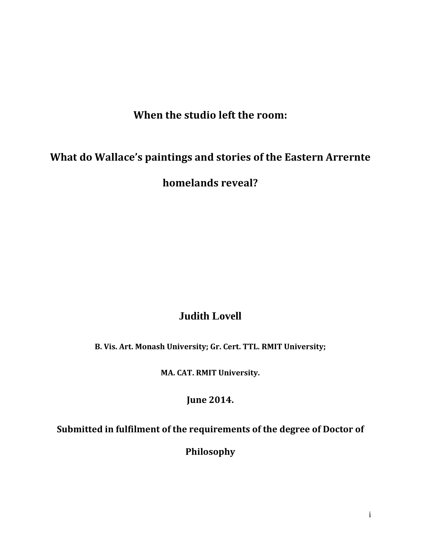**When the studio left the room:** 

# <span id="page-0-1"></span><span id="page-0-0"></span>**What do Wallace's paintings and stories of the Eastern Arrernte**

**homelands reveal?**

### **Judith Lovell**

**B. Vis. Art. Monash University; Gr. Cert. TTL. RMIT University;** 

**MA. CAT. RMIT University.**

**June 2014.**

**Submitted in fulfilment of the requirements of the degree of Doctor of** 

**Philosophy**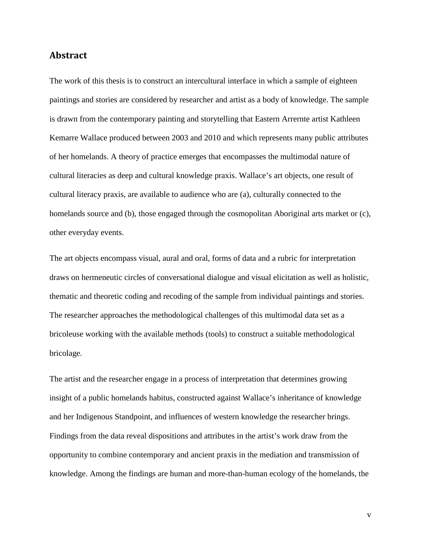#### **Abstract**

The work of this thesis is to construct an intercultural interface in which a sample of eighteen paintings and stories are considered by researcher and artist as a body of knowledge. The sample is drawn from the contemporary painting and storytelling that Eastern Arrernte artist Kathleen Kemarre Wallace produced between 2003 and 2010 and which represents many public attributes of her homelands. A theory of practice emerges that encompasses the multimodal nature of cultural literacies as deep and cultural knowledge praxis. Wallace's art objects, one result of cultural literacy praxis, are available to audience who are (a), culturally connected to the homelands source and (b), those engaged through the cosmopolitan Aboriginal arts market or (c), other everyday events.

The art objects encompass visual, aural and oral, forms of data and a rubric for interpretation draws on hermeneutic circles of conversational dialogue and visual elicitation as well as holistic, thematic and theoretic coding and recoding of the sample from individual paintings and stories. The researcher approaches the methodological challenges of this multimodal data set as a bricoleuse working with the available methods (tools) to construct a suitable methodological bricolage.

The artist and the researcher engage in a process of interpretation that determines growing insight of a public homelands habitus, constructed against Wallace's inheritance of knowledge and her Indigenous Standpoint, and influences of western knowledge the researcher brings. Findings from the data reveal dispositions and attributes in the artist's work draw from the opportunity to combine contemporary and ancient praxis in the mediation and transmission of knowledge. Among the findings are human and more-than-human ecology of the homelands, the

v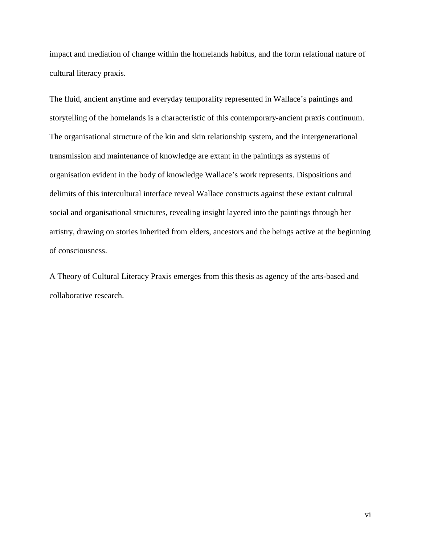impact and mediation of change within the homelands habitus, and the form relational nature of cultural literacy praxis.

The fluid, ancient anytime and everyday temporality represented in Wallace's paintings and storytelling of the homelands is a characteristic of this contemporary-ancient praxis continuum. The organisational structure of the kin and skin relationship system, and the intergenerational transmission and maintenance of knowledge are extant in the paintings as systems of organisation evident in the body of knowledge Wallace's work represents. Dispositions and delimits of this intercultural interface reveal Wallace constructs against these extant cultural social and organisational structures, revealing insight layered into the paintings through her artistry, drawing on stories inherited from elders, ancestors and the beings active at the beginning of consciousness.

A Theory of Cultural Literacy Praxis emerges from this thesis as agency of the arts-based and collaborative research.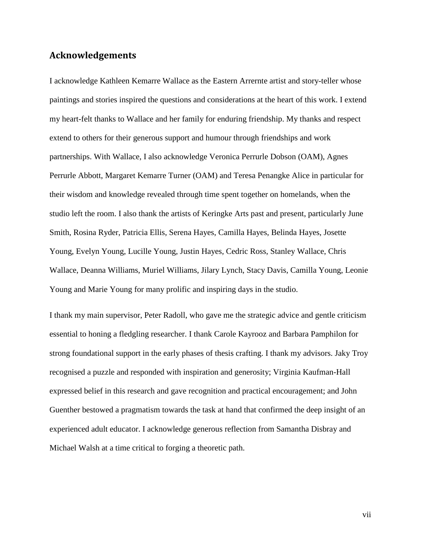#### <span id="page-3-0"></span>**Acknowledgements**

I acknowledge Kathleen Kemarre Wallace as the Eastern Arrernte artist and story-teller whose paintings and stories inspired the questions and considerations at the heart of this work. I extend my heart-felt thanks to Wallace and her family for enduring friendship. My thanks and respect extend to others for their generous support and humour through friendships and work partnerships. With Wallace, I also acknowledge Veronica Perrurle Dobson (OAM), Agnes Perrurle Abbott, Margaret Kemarre Turner (OAM) and Teresa Penangke Alice in particular for their wisdom and knowledge revealed through time spent together on homelands, when the studio left the room. I also thank the artists of Keringke Arts past and present, particularly June Smith, Rosina Ryder, Patricia Ellis, Serena Hayes, Camilla Hayes, Belinda Hayes, Josette Young, Evelyn Young, Lucille Young, Justin Hayes, Cedric Ross, Stanley Wallace, Chris Wallace, Deanna Williams, Muriel Williams, Jilary Lynch, Stacy Davis, Camilla Young, Leonie Young and Marie Young for many prolific and inspiring days in the studio.

I thank my main supervisor, Peter Radoll, who gave me the strategic advice and gentle criticism essential to honing a fledgling researcher. I thank Carole Kayrooz and Barbara Pamphilon for strong foundational support in the early phases of thesis crafting. I thank my advisors. Jaky Troy recognised a puzzle and responded with inspiration and generosity; Virginia Kaufman-Hall expressed belief in this research and gave recognition and practical encouragement; and John Guenther bestowed a pragmatism towards the task at hand that confirmed the deep insight of an experienced adult educator. I acknowledge generous reflection from Samantha Disbray and Michael Walsh at a time critical to forging a theoretic path.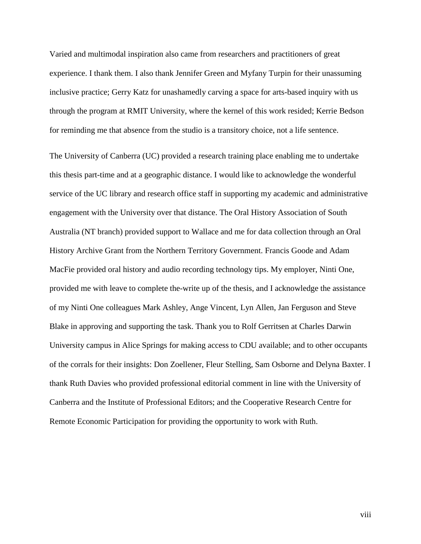Varied and multimodal inspiration also came from researchers and practitioners of great experience. I thank them. I also thank Jennifer Green and Myfany Turpin for their unassuming inclusive practice; Gerry Katz for unashamedly carving a space for arts-based inquiry with us through the program at RMIT University, where the kernel of this work resided; Kerrie Bedson for reminding me that absence from the studio is a transitory choice, not a life sentence.

The University of Canberra (UC) provided a research training place enabling me to undertake this thesis part-time and at a geographic distance. I would like to acknowledge the wonderful service of the UC library and research office staff in supporting my academic and administrative engagement with the University over that distance. The Oral History Association of South Australia (NT branch) provided support to Wallace and me for data collection through an Oral History Archive Grant from the Northern Territory Government. Francis Goode and Adam MacFie provided oral history and audio recording technology tips. My employer, Ninti One, provided me with leave to complete the-write up of the thesis, and I acknowledge the assistance of my Ninti One colleagues Mark Ashley, Ange Vincent, Lyn Allen, Jan Ferguson and Steve Blake in approving and supporting the task. Thank you to Rolf Gerritsen at Charles Darwin University campus in Alice Springs for making access to CDU available; and to other occupants of the corrals for their insights: Don Zoellener, Fleur Stelling, Sam Osborne and Delyna Baxter. I thank Ruth Davies who provided professional editorial comment in line with the University of Canberra and the Institute of Professional Editors; and the Cooperative Research Centre for Remote Economic Participation for providing the opportunity to work with Ruth.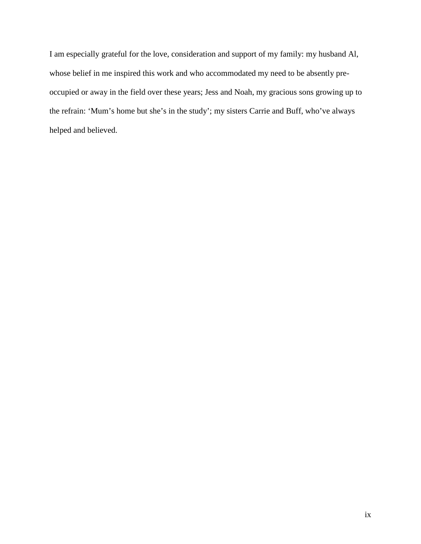I am especially grateful for the love, consideration and support of my family: my husband Al, whose belief in me inspired this work and who accommodated my need to be absently preoccupied or away in the field over these years; Jess and Noah, my gracious sons growing up to the refrain: 'Mum's home but she's in the study'; my sisters Carrie and Buff, who've always helped and believed.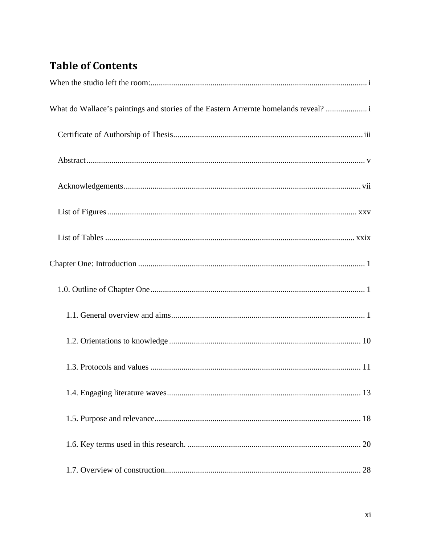# **Table of Contents**

| What do Wallace's paintings and stories of the Eastern Arrernte homelands reveal?  i |
|--------------------------------------------------------------------------------------|
|                                                                                      |
|                                                                                      |
|                                                                                      |
|                                                                                      |
|                                                                                      |
|                                                                                      |
|                                                                                      |
|                                                                                      |
|                                                                                      |
|                                                                                      |
|                                                                                      |
|                                                                                      |
|                                                                                      |
|                                                                                      |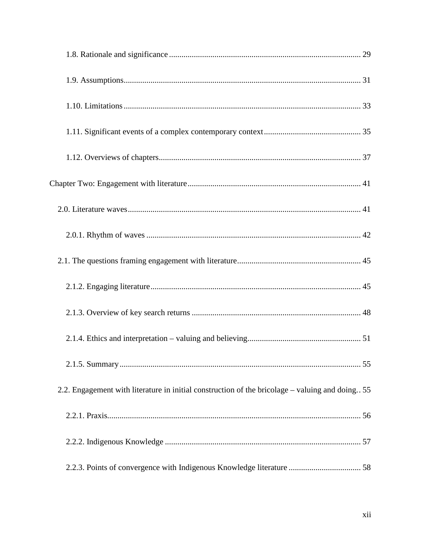| 2.2. Engagement with literature in initial construction of the bricolage – valuing and doing 55 |  |
|-------------------------------------------------------------------------------------------------|--|
|                                                                                                 |  |
|                                                                                                 |  |
|                                                                                                 |  |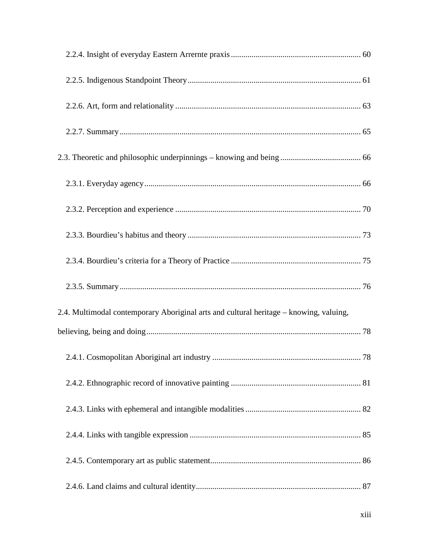| 2.4. Multimodal contemporary Aboriginal arts and cultural heritage - knowing, valuing, |  |
|----------------------------------------------------------------------------------------|--|
|                                                                                        |  |
|                                                                                        |  |
|                                                                                        |  |
|                                                                                        |  |
|                                                                                        |  |
|                                                                                        |  |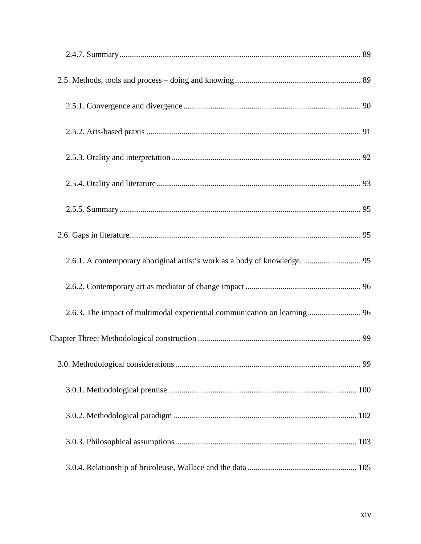| 2.6.1. A contemporary aboriginal artist's work as a body of knowledge.  95 |  |
|----------------------------------------------------------------------------|--|
|                                                                            |  |
| 2.6.3. The impact of multimodal experiential communication on learning 96  |  |
|                                                                            |  |
|                                                                            |  |
|                                                                            |  |
|                                                                            |  |
|                                                                            |  |
|                                                                            |  |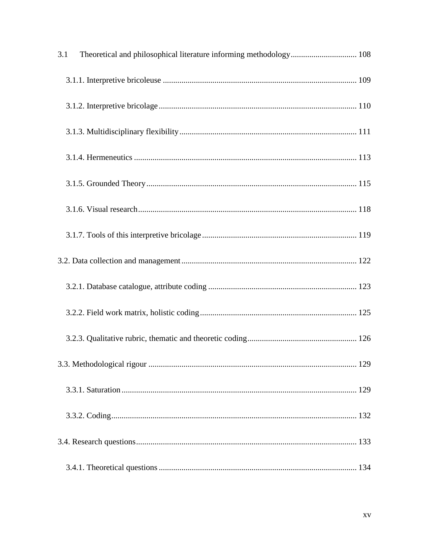| 3.1 | Theoretical and philosophical literature informing methodology 108 |  |
|-----|--------------------------------------------------------------------|--|
|     |                                                                    |  |
|     |                                                                    |  |
|     |                                                                    |  |
|     |                                                                    |  |
|     |                                                                    |  |
|     |                                                                    |  |
|     |                                                                    |  |
|     |                                                                    |  |
|     |                                                                    |  |
|     |                                                                    |  |
|     |                                                                    |  |
|     |                                                                    |  |
|     |                                                                    |  |
|     |                                                                    |  |
|     |                                                                    |  |
|     |                                                                    |  |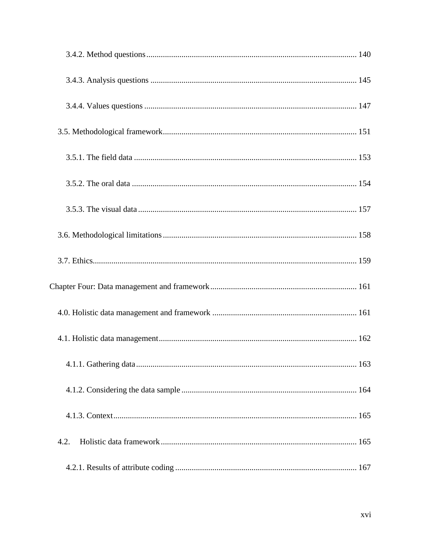| 4.2. |
|------|
|      |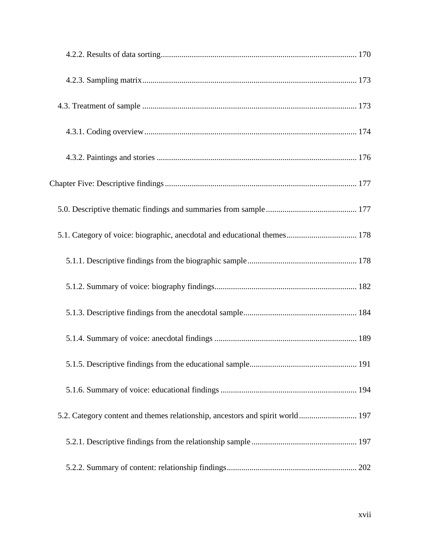| 5.1. Category of voice: biographic, anecdotal and educational themes 178      |
|-------------------------------------------------------------------------------|
|                                                                               |
|                                                                               |
|                                                                               |
|                                                                               |
|                                                                               |
|                                                                               |
| 5.2. Category content and themes relationship, ancestors and spirit world 197 |
|                                                                               |
|                                                                               |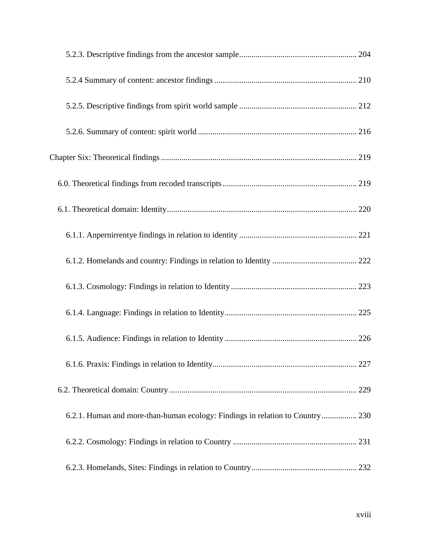| 6.2.1. Human and more-than-human ecology: Findings in relation to Country 230 |  |
|-------------------------------------------------------------------------------|--|
|                                                                               |  |
|                                                                               |  |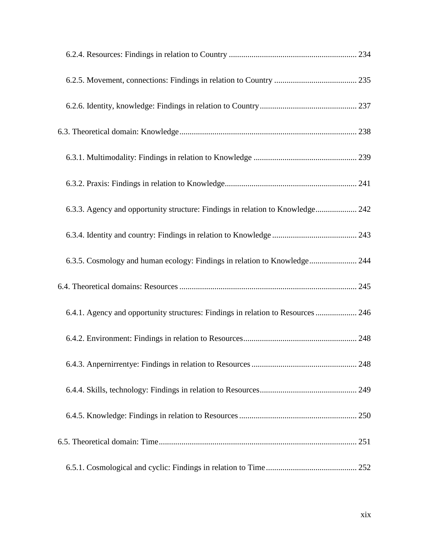| 6.3.3. Agency and opportunity structure: Findings in relation to Knowledge 242   |  |
|----------------------------------------------------------------------------------|--|
|                                                                                  |  |
| 6.3.5. Cosmology and human ecology: Findings in relation to Knowledge 244        |  |
|                                                                                  |  |
| 6.4.1. Agency and opportunity structures: Findings in relation to Resources  246 |  |
|                                                                                  |  |
|                                                                                  |  |
|                                                                                  |  |
|                                                                                  |  |
|                                                                                  |  |
|                                                                                  |  |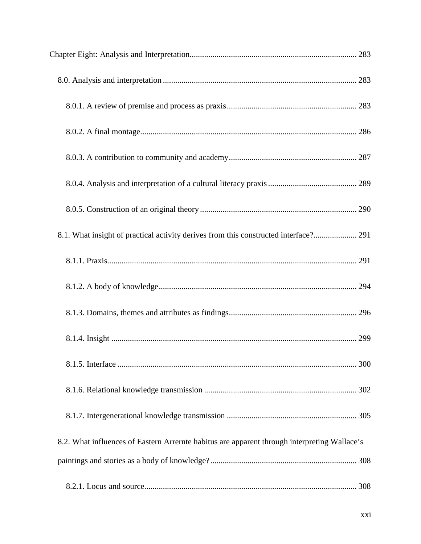| 8.1. What insight of practical activity derives from this constructed interface? 291         |  |
|----------------------------------------------------------------------------------------------|--|
|                                                                                              |  |
|                                                                                              |  |
|                                                                                              |  |
|                                                                                              |  |
|                                                                                              |  |
|                                                                                              |  |
|                                                                                              |  |
| 8.2. What influences of Eastern Arrernte habitus are apparent through interpreting Wallace's |  |
|                                                                                              |  |
|                                                                                              |  |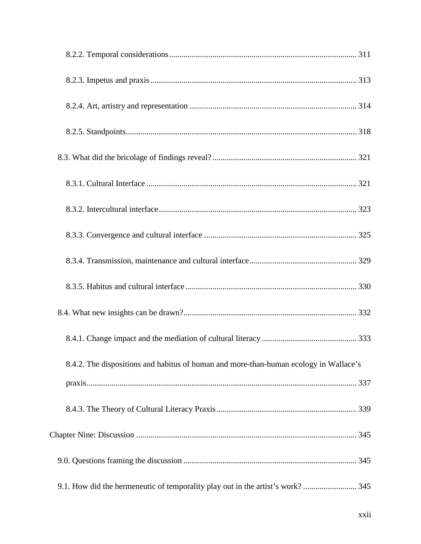| 8.4.2. The dispositions and habitus of human and more-than-human ecology in Wallace's |  |
|---------------------------------------------------------------------------------------|--|
|                                                                                       |  |
|                                                                                       |  |
|                                                                                       |  |
|                                                                                       |  |
| 9.1. How did the hermeneutic of temporality play out in the artist's work?  345       |  |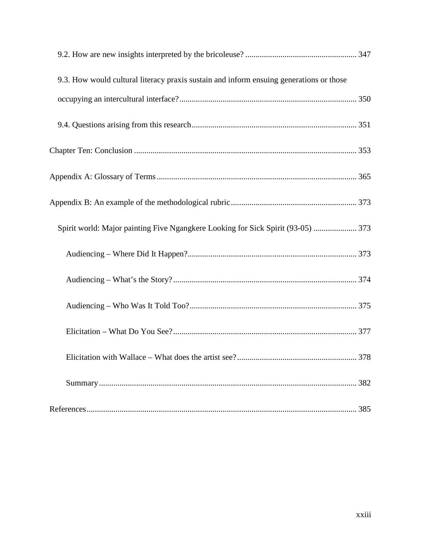<span id="page-18-0"></span>

| 9.3. How would cultural literacy praxis sustain and inform ensuing generations or those |     |
|-----------------------------------------------------------------------------------------|-----|
|                                                                                         |     |
|                                                                                         |     |
|                                                                                         |     |
|                                                                                         |     |
|                                                                                         |     |
| Spirit world: Major painting Five Ngangkere Looking for Sick Spirit (93-05)  373        |     |
|                                                                                         |     |
|                                                                                         |     |
|                                                                                         |     |
|                                                                                         |     |
|                                                                                         | 378 |
|                                                                                         |     |
|                                                                                         | 385 |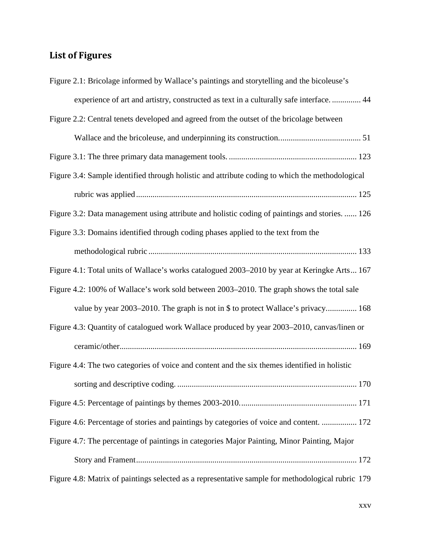## **List of Figures**

| Figure 2.1: Bricolage informed by Wallace's paintings and storytelling and the bicoleuse's        |
|---------------------------------------------------------------------------------------------------|
| experience of art and artistry, constructed as text in a culturally safe interface.  44           |
| Figure 2.2: Central tenets developed and agreed from the outset of the bricolage between          |
|                                                                                                   |
|                                                                                                   |
| Figure 3.4: Sample identified through holistic and attribute coding to which the methodological   |
|                                                                                                   |
| Figure 3.2: Data management using attribute and holistic coding of paintings and stories.  126    |
| Figure 3.3: Domains identified through coding phases applied to the text from the                 |
|                                                                                                   |
| Figure 4.1: Total units of Wallace's works catalogued 2003–2010 by year at Keringke Arts 167      |
| Figure 4.2: 100% of Wallace's work sold between 2003-2010. The graph shows the total sale         |
| value by year 2003–2010. The graph is not in \$ to protect Wallace's privacy 168                  |
| Figure 4.3: Quantity of catalogued work Wallace produced by year 2003-2010, canvas/linen or       |
|                                                                                                   |
| Figure 4.4: The two categories of voice and content and the six themes identified in holistic     |
|                                                                                                   |
|                                                                                                   |
| Figure 4.6: Percentage of stories and paintings by categories of voice and content.  172          |
| Figure 4.7: The percentage of paintings in categories Major Painting, Minor Painting, Major       |
|                                                                                                   |
| Figure 4.8: Matrix of paintings selected as a representative sample for methodological rubric 179 |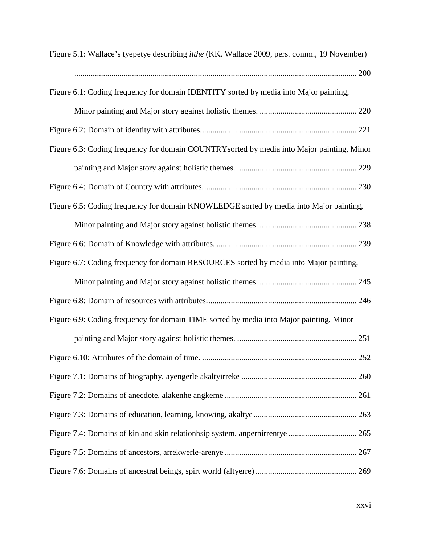| Figure 5.1: Wallace's tyepetye describing <i>ilthe</i> (KK. Wallace 2009, pers. comm., 19 November) |
|-----------------------------------------------------------------------------------------------------|
|                                                                                                     |
| Figure 6.1: Coding frequency for domain IDENTITY sorted by media into Major painting,               |
|                                                                                                     |
|                                                                                                     |
| Figure 6.3: Coding frequency for domain COUNTRY sorted by media into Major painting, Minor          |
|                                                                                                     |
|                                                                                                     |
| Figure 6.5: Coding frequency for domain KNOWLEDGE sorted by media into Major painting,              |
|                                                                                                     |
|                                                                                                     |
| Figure 6.7: Coding frequency for domain RESOURCES sorted by media into Major painting,              |
|                                                                                                     |
|                                                                                                     |
| Figure 6.9: Coding frequency for domain TIME sorted by media into Major painting, Minor             |
|                                                                                                     |
|                                                                                                     |
|                                                                                                     |
|                                                                                                     |
|                                                                                                     |
| Figure 7.4: Domains of kin and skin relationhsip system, anpernirrentye  265                        |
|                                                                                                     |
|                                                                                                     |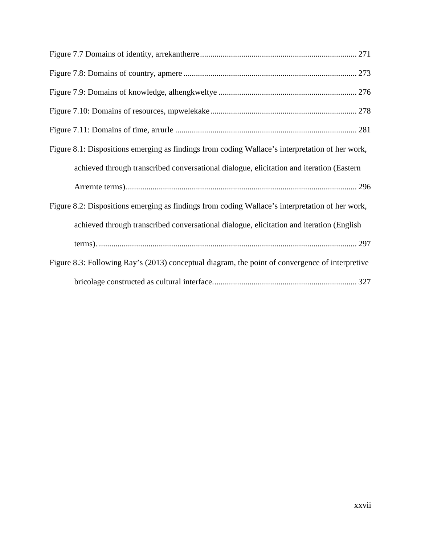| Figure 8.1: Dispositions emerging as findings from coding Wallace's interpretation of her work, |
|-------------------------------------------------------------------------------------------------|
| achieved through transcribed conversational dialogue, elicitation and iteration (Eastern        |
|                                                                                                 |
| Figure 8.2: Dispositions emerging as findings from coding Wallace's interpretation of her work, |
| achieved through transcribed conversational dialogue, elicitation and iteration (English        |
|                                                                                                 |
| Figure 8.3: Following Ray's (2013) conceptual diagram, the point of convergence of interpretive |
|                                                                                                 |